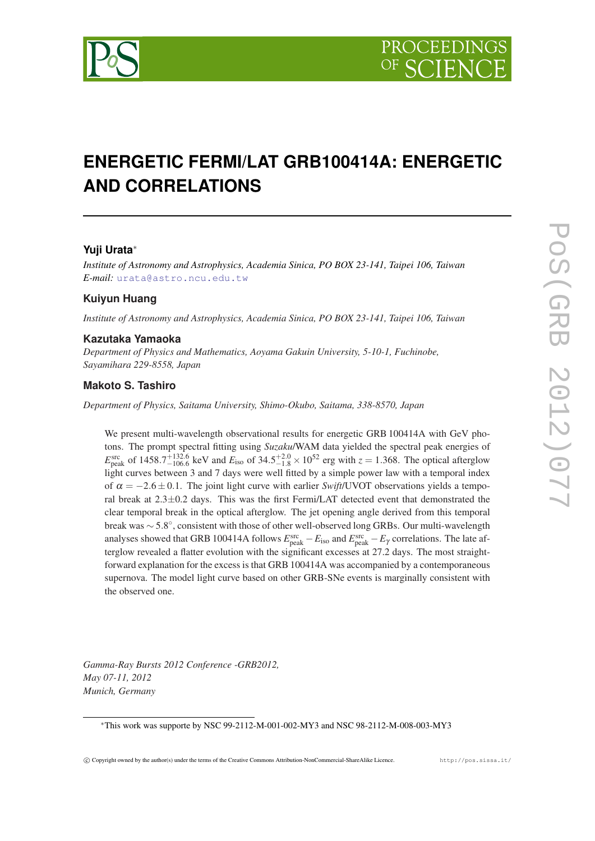

# **ENERGETIC FERMI/LAT GRB100414A: ENERGETIC AND CORRELATIONS**

# **Yuji Urata**<sup>∗</sup>

*Institute of Astronomy and Astrophysics, Academia Sinica, PO BOX 23-141, Taipei 106, Taiwan E-mail:* [urata@astro.ncu.edu.tw](mailto:urata@astro.ncu.edu.tw)

# **Kuiyun Huang**

*Institute of Astronomy and Astrophysics, Academia Sinica, PO BOX 23-141, Taipei 106, Taiwan*

#### **Kazutaka Yamaoka**

*Department of Physics and Mathematics, Aoyama Gakuin University, 5-10-1, Fuchinobe, Sayamihara 229-8558, Japan*

#### **Makoto S. Tashiro**

*Department of Physics, Saitama University, Shimo-Okubo, Saitama, 338-8570, Japan*

We present multi-wavelength observational results for energetic GRB 100414A with GeV photons. The prompt spectral fitting using *Suzaku*/WAM data yielded the spectral peak energies of  $E_{\text{peak}}^{\text{src}}$  of 1458.7<sup>+132.6</sup> keV and  $E_{\text{iso}}$  of 34.5<sup>+2.0</sup> × 10<sup>52</sup> erg with  $z = 1.368$ . The optical afterglow light curves between 3 and 7 days were well fitted by a simple power law with a temporal index of  $\alpha = -2.6 \pm 0.1$ . The joint light curve with earlier *Swift*/UVOT observations yields a temporal break at 2.3±0.2 days. This was the first Fermi/LAT detected event that demonstrated the clear temporal break in the optical afterglow. The jet opening angle derived from this temporal break was ∼ 5.8 ◦ , consistent with those of other well-observed long GRBs. Our multi-wavelength analyses showed that GRB 100414A follows  $E_{\rm peak}^{\rm src} - E_{\rm iso}$  and  $E_{\rm peak}^{\rm src} - E_{\gamma}$  correlations. The late afterglow revealed a flatter evolution with the significant excesses at 27.2 days. The most straightforward explanation for the excess is that GRB 100414A was accompanied by a contemporaneous supernova. The model light curve based on other GRB-SNe events is marginally consistent with the observed one.

*Gamma-Ray Bursts 2012 Conference -GRB2012, May 07-11, 2012 Munich, Germany*

<sup>∗</sup>This work was supporte by NSC 99-2112-M-001-002-MY3 and NSC 98-2112-M-008-003-MY3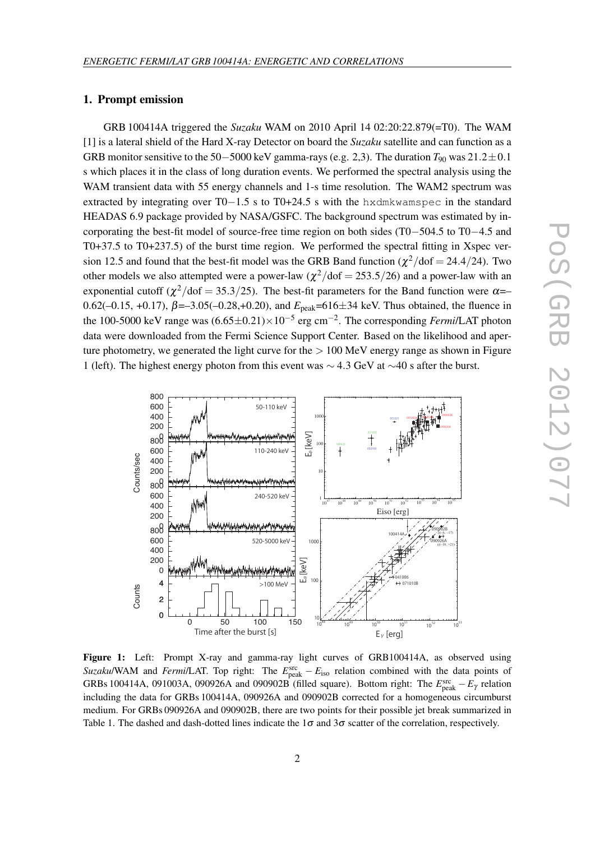#### <span id="page-1-0"></span>1. Prompt emission

GRB 100414A triggered the *Suzaku* WAM on 2010 April 14 02:20:22.879(=T0). The WAM [1] is a lateral shield of the Hard X-ray Detector on board the *Suzaku* satellite and can function as a GRB monitor sensitive to the 50−5000 keV gamma-rays (e.g. 2,3). The duration  $T_{90}$  was 21.2 $\pm$ 0.1 s which places it in the class of long duration events. We performed the spectral analysis using the WAM transient data with 55 energy channels and 1-s time resolution. The WAM2 spectrum was extracted by integrating over T0−1.5 s to T0+24.5 s with the hxdmkwamspec in the standard HEADAS 6.9 package provided by NASA/GSFC. The background spectrum was estimated by incorporating the best-fit model of source-free time region on both sides (T0−504.5 to T0−4.5 and T0+37.5 to T0+237.5) of the burst time region. We performed the spectral fitting in Xspec version 12.5 and found that the best-fit model was the GRB Band function ( $\chi^2$ /dof = 24.4/24). Two other models we also attempted were a power-law  $(\chi^2/\text{dof} = 253.5/26)$  and a power-law with an exponential cutoff ( $\chi^2$ /dof = 35.3/25). The best-fit parameters for the Band function were  $\alpha$ = 0.62(-0.15, +0.17),  $β = -3.05(-0.28, +0.20)$ , and  $E_{peak} = 616 \pm 34$  keV. Thus obtained, the fluence in the 100-5000 keV range was (6.65±0.21)×10−<sup>5</sup> erg cm−<sup>2</sup> . The corresponding *Fermi*/LAT photon data were downloaded from the Fermi Science Support Center. Based on the likelihood and aperture photometry, we generated the light curve for the  $> 100$  MeV energy range as shown in Figure 1 (left). The highest energy photon from this event was ∼ 4.3 GeV at ∼40 s after the burst.



Figure 1: Left: Prompt X-ray and gamma-ray light curves of GRB100414A, as observed using *Suzaku/WAM and <i>Fermi/LAT*. Top right: The  $E_{\text{peak}}^{\text{src}} - E_{\text{iso}}$  relation combined with the data points of GRBs 100414A, 091003A, 090926A and 090902B (filled square). Bottom right: The  $E_{\text{peak}}^{\text{src}} - E_{\gamma}$  relation including the data for GRBs 100414A, 090926A and 090902B corrected for a homogeneous circumburst medium. For GRBs 090926A and 090902B, there are two points for their possible jet break summarized in Table 1. The dashed and dash-dotted lines indicate the  $1\sigma$  and  $3\sigma$  scatter of the correlation, respectively.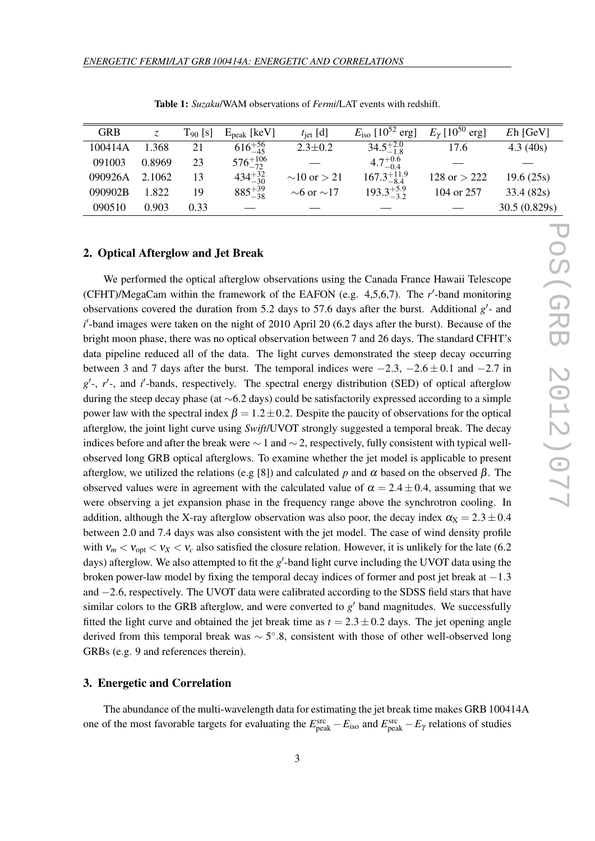<span id="page-2-0"></span>

| <b>GRB</b> |        | $T_{90}$ [s] | $E_{peak}$ [keV]   | $t_{\rm jet}$ [d]     | $E_{\rm iso}$ [10 <sup>52</sup> erg] | $E_{\gamma}$ [10 <sup>50</sup> erg] | $Eh$ [GeV]   |
|------------|--------|--------------|--------------------|-----------------------|--------------------------------------|-------------------------------------|--------------|
| 100414A    | 1.368  | 21           | $616^{+56}_{-45}$  | $2.3 \pm 0.2$         | $34.5^{+2.0}_{-1.8}$                 | 17.6                                | 4.3(40s)     |
| 091003     | 0.8969 | 23           | $576^{+106}_{-72}$ |                       | $4.7^{+0.6}_{-0.4}$                  |                                     |              |
| 090926A    | 2.1062 | 13           | $434^{+32}_{-30}$  | $\sim$ 10 or $>$ 21   | $167.3_{-8.4}^{+11.9}$               | $128$ or $> 222$                    | 19.6(25s)    |
| 090902B    | 1.822  | 19           | $885^{+39}_{-38}$  | $\sim$ 6 or $\sim$ 17 | $193.3^{+5.9}_{-3.2}$                | 104 or 257                          | 33.4(82s)    |
| 090510     | 0.903  | 0.33         |                    |                       |                                      |                                     | 30.5(0.829s) |

Table 1: *Suzaku*/WAM observations of *Fermi*/LAT events with redshift.

# 2. Optical Afterglow and Jet Break

We performed the optical afterglow observations using the Canada France Hawaii Telescope (CFHT)/MegaCam within the framework of the EAFON (e.g. 4,5,6,7). The *r'*-band monitoring observations covered the duration from 5.2 days to 57.6 days after the burst. Additional  $g'$ - and *i*<sup> $l$ </sup>-band images were taken on the night of 2010 April 20 (6.2 days after the burst). Because of the bright moon phase, there was no optical observation between 7 and 26 days. The standard CFHT's data pipeline reduced all of the data. The light curves demonstrated the steep decay occurring between 3 and 7 days after the burst. The temporal indices were  $-2.3$ ,  $-2.6 \pm 0.1$  and  $-2.7$  in  $g'$ -, r'-, and *i*'-bands, respectively. The spectral energy distribution (SED) of optical afterglow during the steep decay phase (at ∼6.2 days) could be satisfactorily expressed according to a simple power law with the spectral index  $\beta = 1.2 \pm 0.2$ . Despite the paucity of observations for the optical afterglow, the joint light curve using *Swift*/UVOT strongly suggested a temporal break. The decay indices before and after the break were  $\sim 1$  and  $\sim 2$ , respectively, fully consistent with typical wellobserved long GRB optical afterglows. To examine whether the jet model is applicable to present afterglow, we utilized the relations (e.g [8]) and calculated *p* and  $\alpha$  based on the observed  $\beta$ . The observed values were in agreement with the calculated value of  $\alpha = 2.4 \pm 0.4$ , assuming that we were observing a jet expansion phase in the frequency range above the synchrotron cooling. In addition, although the X-ray afterglow observation was also poor, the decay index  $\alpha_{\rm X} = 2.3 \pm 0.4$ between 2.0 and 7.4 days was also consistent with the jet model. The case of wind density profile with  $v_m < v_{opt} < v_X < v_c$  also satisfied the closure relation. However, it is unlikely for the late (6.2) days) afterglow. We also attempted to fit the *g*'-band light curve including the UVOT data using the broken power-law model by fixing the temporal decay indices of former and post jet break at  $-1.3$ and −2.6, respectively. The UVOT data were calibrated according to the SDSS field stars that have similar colors to the GRB afterglow, and were converted to  $g'$  band magnitudes. We successfully fitted the light curve and obtained the jet break time as  $t = 2.3 \pm 0.2$  days. The jet opening angle derived from this temporal break was ~ 5°.8, consistent with those of other well-observed long GRBs (e.g. 9 and references therein).

### 3. Energetic and Correlation

The abundance of the multi-wavelength data for estimating the jet break time makes GRB 100414A one of the most favorable targets for evaluating the  $E_{\rm peak}^{\rm src} - E_{\rm iso}$  and  $E_{\rm peak}^{\rm src} - E_{\gamma}$  relations of studies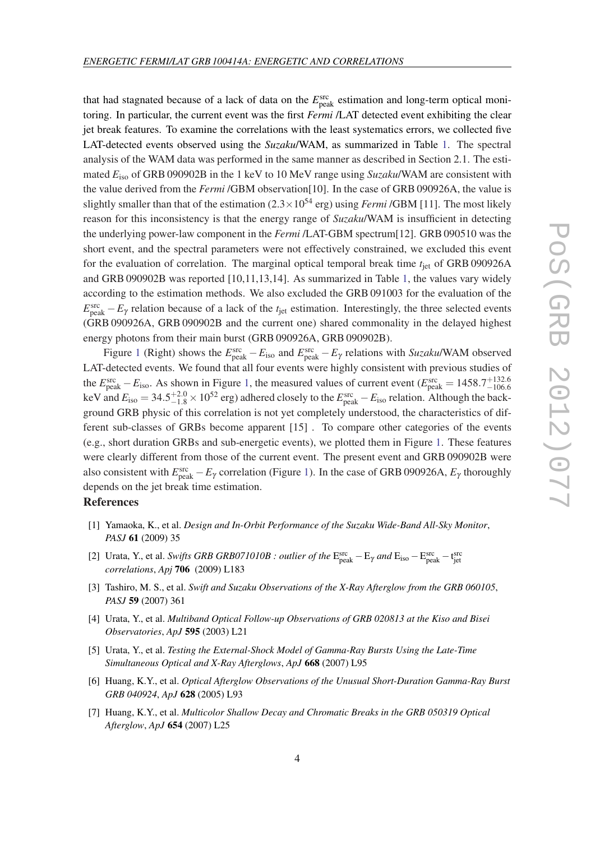that had stagnated because of a lack of data on the  $E_{\text{peak}}^{\text{src}}$  estimation and long-term optical monitoring. In particular, the current event was the first *Fermi* /LAT detected event exhibiting the clear jet break features. To examine the correlations with the least systematics errors, we collected five LAT-detected events observed using the *Suzaku*/WAM, as summarized in Table [1.](#page-2-0) The spectral analysis of the WAM data was performed in the same manner as described in Section 2.1. The estimated *E*iso of GRB 090902B in the 1 keV to 10 MeV range using *Suzaku*/WAM are consistent with the value derived from the *Fermi* /GBM observation[10]. In the case of GRB 090926A, the value is slightly smaller than that of the estimation  $(2.3 \times 10^{54} \text{ erg})$  using *Fermi* /GBM [11]. The most likely reason for this inconsistency is that the energy range of *Suzaku*/WAM is insufficient in detecting the underlying power-law component in the *Fermi* /LAT-GBM spectrum[12]. GRB 090510 was the short event, and the spectral parameters were not effectively constrained, we excluded this event for the evaluation of correlation. The marginal optical temporal break time *t*<sub>iet</sub> of GRB 090926A and GRB 090902B was reported [10,11,13,14]. As summarized in Table [1](#page-2-0), the values vary widely according to the estimation methods. We also excluded the GRB 091003 for the evaluation of the  $E_{\text{peak}}^{\text{src}} - E_{\gamma}$  relation because of a lack of the  $t_{\text{jet}}$  estimation. Interestingly, the three selected events (GRB 090926A, GRB 090902B and the current one) shared commonality in the delayed highest energy photons from their main burst (GRB 090926A, GRB 090902B).

Figure [1](#page-1-0) (Right) shows the  $E_{\text{peak}}^{\text{src}} - E_{\text{iso}}$  and  $E_{\text{peak}}^{\text{src}} - E_{\gamma}$  relations with *Suzaku*/WAM observed LAT-detected events. We found that all four events were highly consistent with previous studies of the  $E_{\text{peak}}^{\text{src}} - E_{\text{iso}}$ . As shown in Figure [1,](#page-1-0) the measured values of current event ( $E_{\text{peak}}^{\text{src}} = 1458.7^{+132.6}_{-106.6}$ keV and  $E_{\text{iso}} = 34.5_{-1.8}^{+2.0} \times 10^{52}$  erg) adhered closely to the  $E_{\text{peak}}^{\text{src}} - E_{\text{iso}}$  relation. Although the background GRB physic of this correlation is not yet completely understood, the characteristics of different sub-classes of GRBs become apparent [15] . To compare other categories of the events (e.g., short duration GRBs and sub-energetic events), we plotted them in Figure [1.](#page-1-0) These features were clearly different from those of the current event. The present event and GRB 090902B were also consistent with  $E_{\text{peak}}^{\text{src}} - E_{\gamma}$  correlation (Figure [1](#page-1-0)). In the case of GRB 090926A,  $E_{\gamma}$  thoroughly depends on the jet break time estimation.

#### References

- [1] Yamaoka, K., et al. *Design and In-Orbit Performance of the Suzaku Wide-Band All-Sky Monitor*, *PASJ* 61 (2009) 35
- [2] Urata, Y., et al. *Swifts GRB GRB071010B : outlier of the*  $E_{peak}^{src} E_{\gamma}$  and  $E_{iso} E_{peak}^{src} t_{jet}^{src}$ *correlations*, *Apj* 706 (2009) L183
- [3] Tashiro, M. S., et al. *Swift and Suzaku Observations of the X-Ray Afterglow from the GRB 060105*, *PASJ* 59 (2007) 361
- [4] Urata, Y., et al. *Multiband Optical Follow-up Observations of GRB 020813 at the Kiso and Bisei Observatories*, *ApJ* 595 (2003) L21
- [5] Urata, Y., et al. *Testing the External-Shock Model of Gamma-Ray Bursts Using the Late-Time Simultaneous Optical and X-Ray Afterglows*, *ApJ* 668 (2007) L95
- [6] Huang, K.Y., et al. *Optical Afterglow Observations of the Unusual Short-Duration Gamma-Ray Burst GRB 040924*, *ApJ* 628 (2005) L93
- [7] Huang, K.Y., et al. *Multicolor Shallow Decay and Chromatic Breaks in the GRB 050319 Optical Afterglow*, *ApJ* 654 (2007) L25